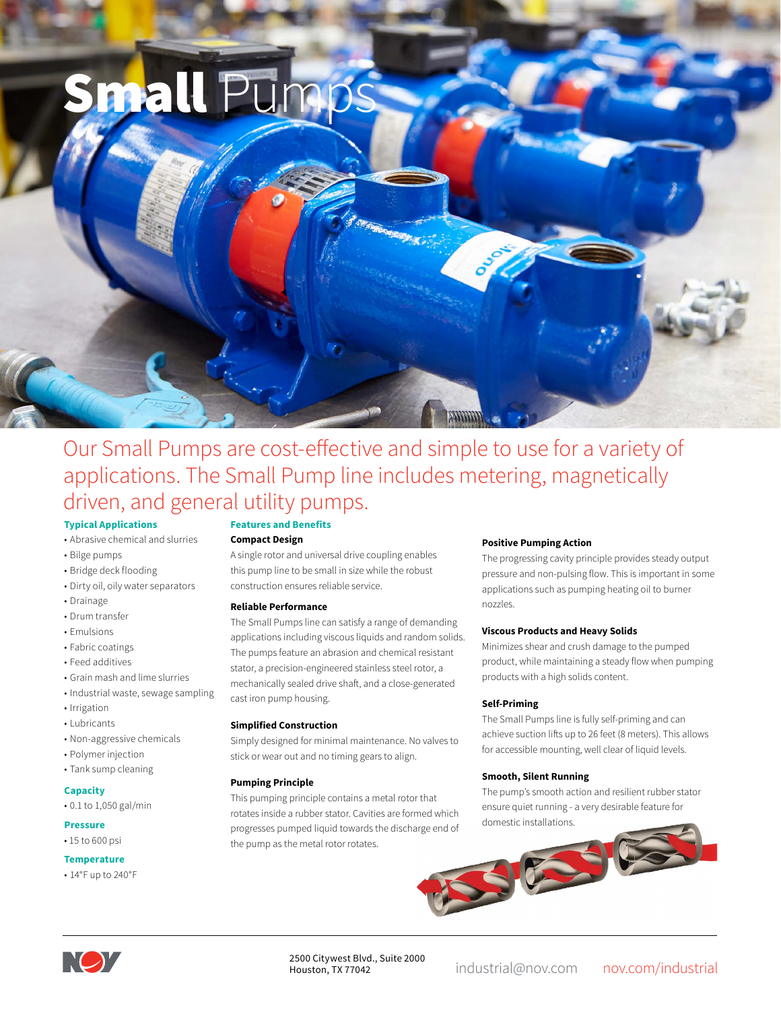

# Our Small Pumps are cost-effective and simple to use for a variety of applications. The Small Pump line includes metering, magnetically driven, and general utility pumps.

#### **Typical Applications**

- Abrasive chemical and slurries
- Bilge pumps
- Bridge deck flooding
- Dirty oil, oily water separators
- Drainage
- Drum transfer
- Emulsions
- Fabric coatings
- Feed additives
- Grain mash and lime slurries
- Industrial waste, sewage sampling
- Irrigation
- Lubricants
- Non-aggressive chemicals
- Polymer injection
- Tank sump cleaning

### **Capacity**

• 0.1 to 1,050 gal/min

#### **Pressure**

## • 15 to 600 psi

- **Temperature**
- 14°F up to 240°F

# **Features and Benefits**

### **Compact Design**

A single rotor and universal drive coupling enables this pump line to be small in size while the robust construction ensures reliable service.

#### **Reliable Performance**

The Small Pumps line can satisfy a range of demanding applications including viscous liquids and random solids. The pumps feature an abrasion and chemical resistant stator, a precision-engineered stainless steel rotor, a mechanically sealed drive shaft, and a close-generated cast iron pump housing.

#### **Simplified Construction**

Simply designed for minimal maintenance. No valves to stick or wear out and no timing gears to align.

#### **Pumping Principle**

This pumping principle contains a metal rotor that rotates inside a rubber stator. Cavities are formed which progresses pumped liquid towards the discharge end of the pump as the metal rotor rotates.

#### **Positive Pumping Action**

The progressing cavity principle provides steady output pressure and non-pulsing flow. This is important in some applications such as pumping heating oil to burner nozzles.

#### **Viscous Products and Heavy Solids**

Minimizes shear and crush damage to the pumped product, while maintaining a steady flow when pumping products with a high solids content.

#### **Self-Priming**

The Small Pumps line is fully self-priming and can achieve suction lifts up to 26 feet (8 meters). This allows for accessible mounting, well clear of liquid levels.

#### **Smooth, Silent Running**

The pump's smooth action and resilient rubber stator ensure quiet running - a very desirable feature for domestic installations.